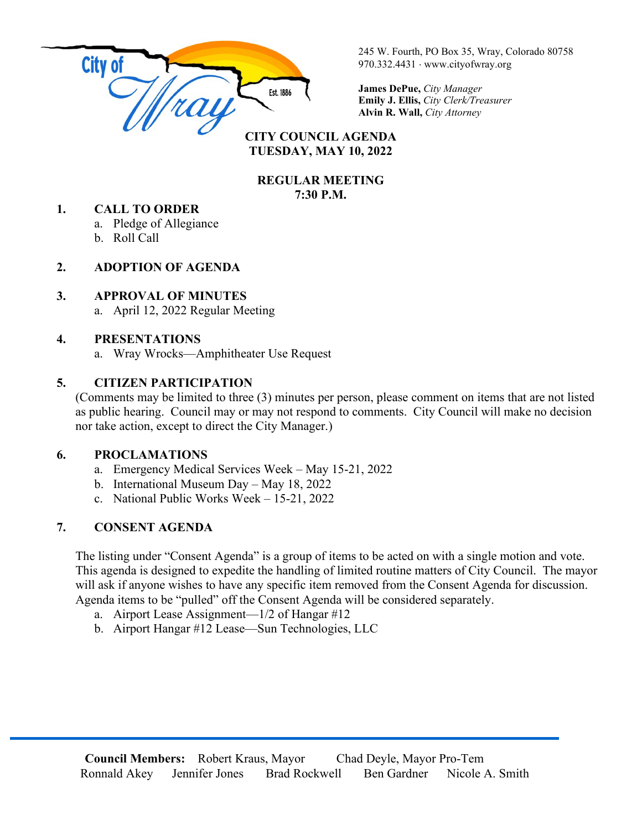

245 W. Fourth, PO Box 35, Wray, Colorado 80758 970.332.4431 ⋅ www.cityofwray.org

**James DePue,** *City Manager* **Emily J. Ellis,** *City Clerk/Treasurer* **Alvin R. Wall,** *City Attorney*

#### **CITY COUNCIL AGENDA TUESDAY, MAY 10, 2022**

#### **REGULAR MEETING 7:30 P.M.**

#### **1. CALL TO ORDER**

a. Pledge of Allegiance

b. Roll Call

#### **2. ADOPTION OF AGENDA**

#### **3. APPROVAL OF MINUTES**

a. April 12, 2022 Regular Meeting

#### **4. PRESENTATIONS**

a. Wray Wrocks—Amphitheater Use Request

## **5. CITIZEN PARTICIPATION**

(Comments may be limited to three (3) minutes per person, please comment on items that are not listed as public hearing. Council may or may not respond to comments. City Council will make no decision nor take action, except to direct the City Manager.)

## **6. PROCLAMATIONS**

- a. Emergency Medical Services Week May 15-21, 2022
- b. International Museum Day May 18, 2022
- c. National Public Works Week 15-21, 2022

# **7. CONSENT AGENDA**

The listing under "Consent Agenda" is a group of items to be acted on with a single motion and vote. This agenda is designed to expedite the handling of limited routine matters of City Council. The mayor will ask if anyone wishes to have any specific item removed from the Consent Agenda for discussion. Agenda items to be "pulled" off the Consent Agenda will be considered separately.

- a. Airport Lease Assignment—1/2 of Hangar #12
- b. Airport Hangar #12 Lease—Sun Technologies, LLC